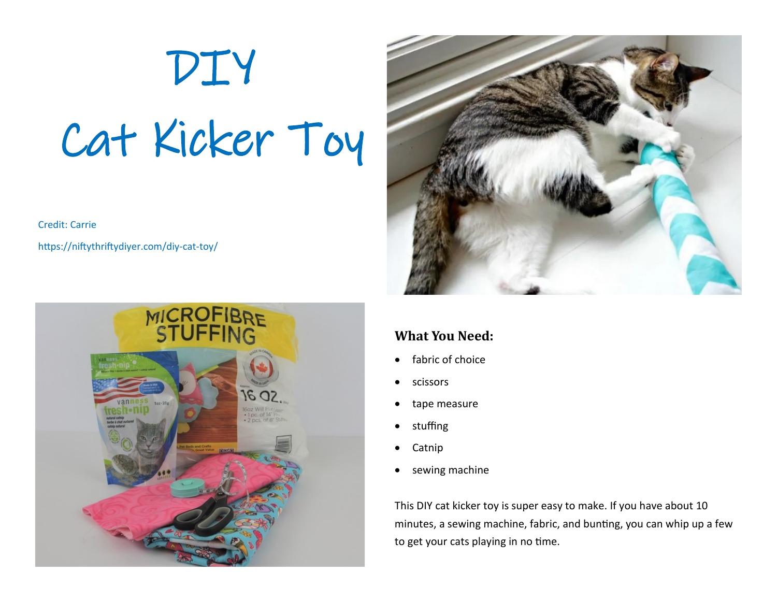# DIY Cat Kicker Toy

Credit: Carrie

https://niftythriftydiyer.com/diy-cat-toy/





### **What You Need:**

- fabric of choice
- scissors
- tape measure
- stuffing
- Catnip
- sewing machine

This DIY cat kicker toy is super easy to make. If you have about 10 minutes, a sewing machine, fabric, and bunting, you can whip up a few to get your cats playing in no time.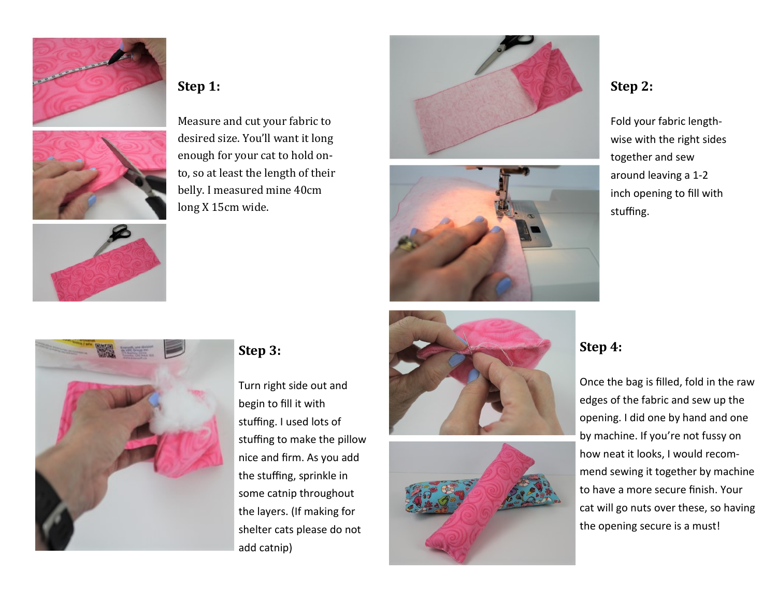



# **Step 1:**

Measure and cut your fabric to desired size. You'll want it long enough for your cat to hold onto, so at least the length of their belly. I measured mine 40cm long X 15cm wide.





# **Step 2:**

Fold your fabric lengthwise with the right sides together and sew around leaving a 1-2 inch opening to fill with stuffing.



#### **Step 3:**

Turn right side out and begin to fill it with stuffing. I used lots of stuffing to make the pillow nice and firm. As you add the stuffing, sprinkle in some catnip throughout the layers. (If making for shelter cats please do not add catnip)





### **Step 4:**

Once the bag is filled, fold in the raw edges of the fabric and sew up the opening. I did one by hand and one by machine. If you're not fussy on how neat it looks, I would recommend sewing it together by machine to have a more secure finish. Your cat will go nuts over these, so having the opening secure is a must!